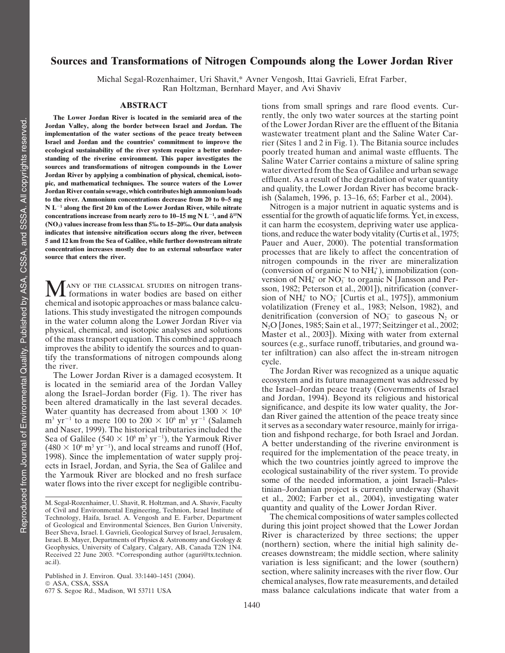# **Sources and Transformations of Nitrogen Compounds along the Lower Jordan River**

Michal Segal-Rozenhaimer, Uri Shavit,\* Avner Vengosh, Ittai Gavrieli, Efrat Farber, Ran Holtzman, Bernhard Mayer, and Avi Shaviv

Jordan Valley, along the border between Israel and Jordan. The I ordan River contain sewage, which contributes high ammonium loads<br>
to the river. Ammonium concentrations decrease from 20 to 0–5 mg<br>
N L<sup>-1</sup> along the first 20 km of the Lower Jordan River, while pitrate Mitrogen is a ma **N** L<sup>-1</sup> along the first 20 km of the Lower Jordan River, while nitrate concentrations increase from nearly zero to 10–15 mg N  $L^{-1}$ , and  $\delta^{15}N$ 

chemical and isotopic approaches of mass balance calcu-<br>lations. This study investigated the nitrogen compounds<br>in the water column along the Lower Jordan River via  $NQ_{\text{S}}$  (conversion of NO<sub>3</sub> to gaseous N<sub>2</sub> or<br> $NQ_{\$ Finality in the water column along the Lower Jordan River via<br>
in the water column along the Lower Jordan River via<br>
physical, chemical, and isotopic analyses and solutions<br>
of the mass transport equation. This combined a

**ABSTRACT** tions from small springs and rare flood events. Cur-**The Lower Jordan River is located in the semiarid area of the** rently, the only two water sources at the starting point relaxing point relaxing point of the Bitania relaxing point of the Bitania **implementation of the water sections of the peace treaty between** wastewater treatment plant and the Saline Water Car-<br>**Israel and Jordan and the countries' commitment to improve the** rier (Sites 1 and 2 in Fig. 1). The B **Israel and Jordan and the countries' commitment to improve the** rier (Sites 1 and 2 in Fig. 1). The Bitania source includes ecological sustainability of the river system require a better under-<br>
standing of the riverine environment. This paper investigates the<br>
sources and transformations of nitrogen compounds in the Lower<br>
Jordan River by appl

**concentrations increase from nearly zero to 10–15 mg N**  $L^{-1}$ **, and**  $\delta^{15}N$  **essential for the growth of aquatic life forms. Yet, in excess,<br>(NO<sub>3</sub>) values increase from less than 5‰ to 15–20‰. Our data analysis it can h (NO3) values increase from less than 5‰ to 15–20‰. Our data analysis** it can harm the ecosystem, depriving water use applicaindicates that intensive nitrification occurs along the river, between<br>
5 and 12 km from the Sea of Galilee, while further downstream nitrate<br>
concentration increases mostly due to an external subsurface water<br>
source that (conversion of organic N to  $NH<sub>4</sub><sup>+</sup>$ ), immobilization (conversion of  $NH_4^+$  or  $NO_3^ \sum_{\text{3}}$  Tany of the classical studies on nitrogen trans-<br>Son, 1982; Peterson et al., 2001]), nitrification (conver-<br>chemical and isotopic approaches or mass balance calcu-<br>sion of NH<sub>+</sub><sup>+</sup> to NO<sub>3</sub><sup>-</sup> [Curtis et al., 1  $4^+$  to  $NO_3^-$ 

Water quantity has decreased from about  $1300 \times 10^6$  significance, and despite its low water quanty, the Joi-<br>
m<sup>3</sup> yr<sup>-1</sup> to a mere 100 to 200 × 10<sup>6</sup> m<sup>3</sup> yr<sup>-1</sup> (Salameh) dan River gained the attention of the peace tr  $(480 \times 10^6 \text{ m}^3 \text{ yr}^{-1})$ , and local streams and runoff (Hof,<br>1008). Since the implementation of water supply regionally reguired for the implementation of the peace treaty, in (480  $\times$  10<sup>6</sup> m<sup>3</sup> yr<sup>-1</sup>), and local streams and runoff (Hof,<br>1998). Since the implementation of water supply projects in Israel, Jordan, and Syria, the Sea of Galilee and<br>the Yarmouk River are blocked and no fresh sur

Technology, Haifa, Israel. A. Vengosh and E. Farber, Department The chemical compositions of water samples collected<br>of Geological and Environmental Sciences, Ben Gurion University, during this joint project showed that th Beer Sheva, Israel. I. Gavrieli, Geological Survey of Israel, Jerusalem,<br>Israel. B. Mayer, Departments of Physics & Astronomy and Geology & Geophysics, University of Calgary, Calgary, AB, Canada T2N 1N4. (northern) section, where the initial high salinity de-<br>Received 22 June 2003. \*Corresponding author (aguri@tx.technion. creases downstream; the middle sectio creases downstream; the middle section, where salinity ac.il). variation is less significant; and the lower (southern) Published in J. Environ. Qual. 33:1440–1451 (2004).<br>
© ASA, CSSA, SSSA SSSA (SSSA, SSSA experiments, and detailed ASA, CSSA, SSSA consider the S. Environment statements, and detailed<br>  $677$  S. Segoe Rd., Madison, WI 53711 USA mass balance calculations indicate that water from a mass balance calculations indicate that water from a

M. Segal-Rozenhaimer, U. Shavit, R. Holtzman, and A. Shaviv, Faculty et al., 2002; Farber et al., 2004), investigating water of Civil and Environmental Engineering, Technion, Israel Institute of quantity and quality of the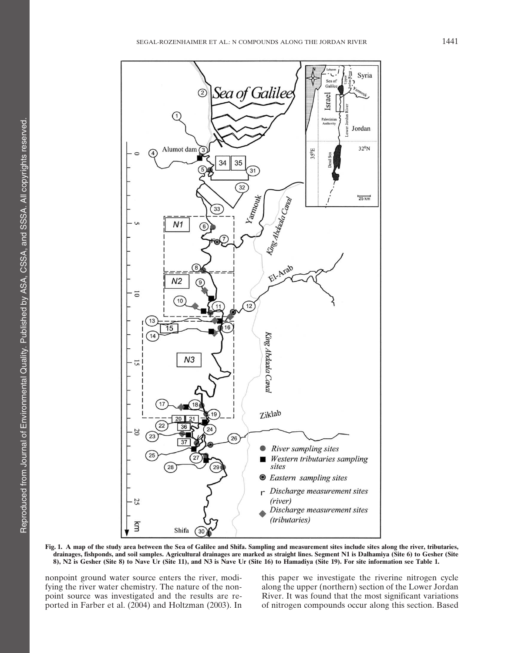

**Fig. 1. A map of the study area between the Sea of Galilee and Shifa. Sampling and measurement sites include sites along the river, tributaries, drainages, fishponds, and soil samples. Agricultural drainages are marked as straight lines. Segment N1 is Dalhamiya (Site 6) to Gesher (Site 8), N2 is Gesher (Site 8) to Nave Ur (Site 11), and N3 is Nave Ur (Site 16) to Hamadiya (Site 19). For site information see Table 1.**

fying the river water chemistry. The nature of the non- along the upper (northern) section of the Lower Jordan point source was investigated and the results are re- River. It was found that the most significant variations ported in Farber et al. (2004) and Holtzman (2003). In of nitrogen compounds occur along this section. Based

nonpoint ground water source enters the river, modi- this paper we investigate the riverine nitrogen cycle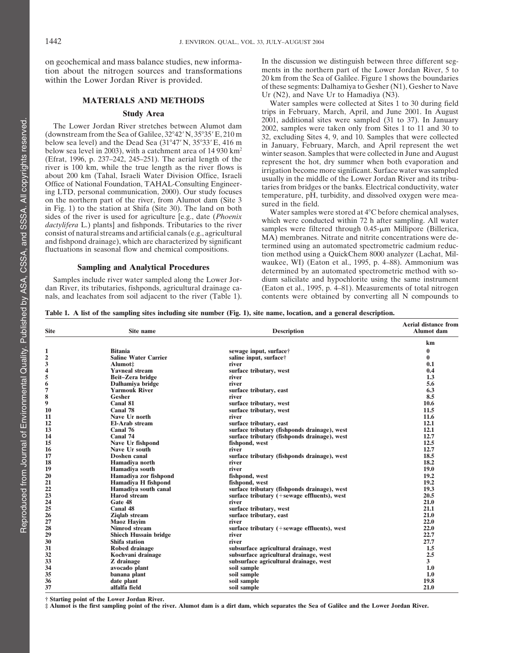tion about the nitrogen sources and transformations within the Lower Jordan River is provided. 20 km from the Sea of Galilee. Figure 1 shows the boundaries

between the 2005, with a calcument area of 14 90 km and August<br>
(Efrat, 1996, p. 237–242, 245–251). The aerial length of the true length as the river flows is<br>
river is 100 km, while the true length as the river flows is<br>

Samples include river water sampled along the Lower Jor- dan River, its tributaries, fishponds, agricultural drainage ca-

on geochemical and mass balance studies, new informa-<br>
In the discussion we distinguish between three different seg-<br>
in the northern part of the Lower Jordan River. 5 to of these segments: Dalhamiya to Gesher (N1), Gesher to Nave

**MATERIALS AND METHODS** Ur (N2), and Nave Ur to Hamadiya (N3).<br> **MATERIALS AND METHODS** Water samples were collected at Sites 1 to 30 during field<br> **Study Area** trips in February, March, April, and June 2001. In August **Study Area** trips in February, March, April, and June 2001. In August<br>2001, additional sites were sampled (31 to 37). In January<br>(downstream from the Sea of Galilee, 32°42′ N, 35°35′ E, 210 m<br>below sea level) and the Dea

**Sampling and Analytical Procedures** waukee, WI) (Eaton et al., 1995, p. 4–88). Ammonium was determined by an automated spectrometric method with so-<br>s include river water sampled along the Lower Jor-<br>dium salicilate and h dan River, its tributaries, fishponds, agricultural drainage ca- (Eaton et al., 1995, p. 4–81). Measurements of total nitrogen nals, and leachates from soil adjacent to the river (Table 1). contents were obtained by conver contents were obtained by converting all N compounds to

**Table 1. A list of the sampling sites including site number (Fig. 1), site name, location, and a general description.**

| Site           | Site name                    | <b>Description</b>                                    | <b>Aerial distance from</b><br><b>Alumot</b> dam |
|----------------|------------------------------|-------------------------------------------------------|--------------------------------------------------|
|                |                              |                                                       | km                                               |
|                | <b>Bitania</b>               | sewage input, surface†                                | $\mathbf{0}$                                     |
| $\overline{c}$ | <b>Saline Water Carrier</b>  | saline input, surface†                                | $\mathbf{0}$                                     |
|                | Alumot:                      | river                                                 | 0.1                                              |
|                | <b>Yavneal stream</b>        | surface tributary, west                               | 0.4                                              |
|                | Beit-Zera bridge             | river                                                 | 1.3                                              |
| 6              | Dalhamiya bridge             | river                                                 | 5.6                                              |
| 7              | <b>Yarmouk River</b>         | surface tributary, east                               | 6.3                                              |
| 8              | <b>Gesher</b>                | river                                                 | 8.5                                              |
| 9              | Canal 81                     | surface tributary, west                               | 10.6                                             |
| 10             | Canal 78                     | surface tributary, west                               | 11.5                                             |
| 11             | Nave Ur north                | river                                                 | 11.6                                             |
| 12             | <b>El-Arab stream</b>        | surface tributary, east                               | 12.1                                             |
| 13             | Canal 76                     | surface tributary (fishponds drainage), west          | 12.1                                             |
| 14             | Canal 74                     | surface tributary (fishponds drainage), west          | 12.7                                             |
| 15             | Nave Ur fishpond             | fishpond, west                                        | 12.5                                             |
| 16             | Nave Ur south                | river                                                 | 12.7                                             |
| 17             | Doshen canal                 | surface tributary (fishponds drainage), west          | 18.5                                             |
| 18             | Hamadiya north               | river                                                 | 18.2                                             |
| 19             | Hamadiya south               | river                                                 | 19.0                                             |
| 20             | Hamadiya zor fishpond        | fishpond, west                                        | 19.2                                             |
| 21             | Hamadiya H fishpond          | fishpond, west                                        | 19.2                                             |
| 22<br>23       | Hamadiya south canal         | surface tributary (fishponds drainage), west          | 19.3                                             |
|                | <b>Harod</b> stream          | surface tributary (+sewage effluents), west           | 20.5                                             |
| 24             | Gate 48                      | river                                                 | 21.0                                             |
| 25             | Canal 48                     | surface tributary, west                               | 21.1                                             |
| 26             | <b>Ziqlab</b> stream         | surface tributary, east                               | 21.0                                             |
| 27             | <b>Maoz</b> Havim            | river                                                 | 22.0                                             |
| 28             | Nimrod stream                | surface tributary $(+\text{sewage effluents})$ , west | 22.0                                             |
| 29             | <b>Shiech Hussain bridge</b> | river                                                 | 22.7                                             |
| 30             | <b>Shifa station</b>         | river                                                 | 27.7                                             |
| 31             | Robed drainage               | subsurface agricultural drainage, west                | 1.5                                              |
| 32             | Kochvani drainage            | subsurface agricultural drainage, west                | 2.5                                              |
| 33             | Z drainage                   | subsurface agricultural drainage, west                | 3                                                |
| 34             | avocado plant                | soil sample                                           | 1.0                                              |
| 35             | banana plant                 | soil sample                                           | 1.0                                              |
| 36             | date plant                   | soil sample                                           | 19.8                                             |
| 37             | alfalfa field                | soil sample                                           | 21.0                                             |

**† Starting point of the Lower Jordan River.**

**‡ Alumot is the first sampling point of the river. Alumot dam is a dirt dam, which separates the Sea of Galilee and the Lower Jordan River.**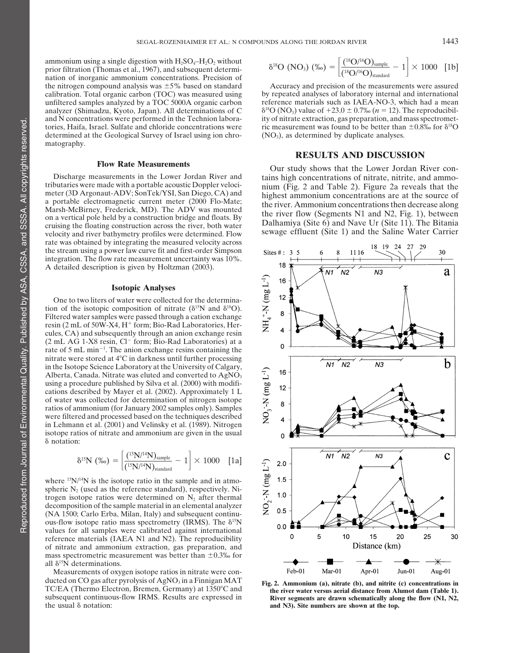ammonium using a single digestion with  $H_2SO_4-H_2O_2$  without prior filtration (Thomas et al., 1967), and subsequent determination of inorganic ammonium concentrations. Precision of the nitrogen compound analysis was  $\pm 5\%$  based on standard Accuracy and precision of the measurements were assured calibration. Total organic carbon (TOC) was measured using by repeated analyses of laboratory internal analyzer (Shimadzu, Kyoto, Japan). All determinations of C tories, Haifa, Israel. Sulfate and chloride concentrations were ic measurement was found to be better than  $\pm 0.8\%$  for  $\delta^{18}O$  determined at the Geological Survey of Israel using ion chro- (NO<sub>3</sub>), as determined by d determined at the Geological Survey of Israel using ion chromatography.

Discharge measurements in the Lower Jordan River and<br>tributaries were made with a portable acoustic Doppler veloci-<br>meter (3D Argonaut-ADV; SonTek/YSI, San Diego, CA) and<br>a portable electromagnetic current meter (2000 Florate was obtained by integrating the measured velocity across the stream using a power law curve fit and first-order Simpson integration. The flow rate measurement uncertainty was 10%. A detailed description is given by Holtzman (2003).

### **Isotopic Analyses**

One to two liters of water were collected for the determination of the isotopic composition of nitrate ( $\delta^{15}N$  and  $\delta^{18}O$ ). Filtered water samples were passed through a cation exchange resin (2 mL of 50W-X4, H<sup>+</sup> form; Bio-Rad Laboratories, Hercules, CA) and subsequently through an anion exchange resin  $(2 \text{ mL AG } 1\text{-X8} \text{ resin}$ ,  $Cl^-$  form; Bio-Rad Laboratories) at a rate of  $5 \text{ mL min}^{-1}$ . The anion exchange resins containing the nitrate were stored at  $4^{\circ}$ C in darkness until further processing in the Isotope Science Laboratory at the University of Calgary, Alberta, Canada. Nitrate was eluted and converted to  $AgNO<sub>3</sub>$ using a procedure published by Silva et al. (2000) with modifications described by Mayer et al. (2002). Approximately 1 L of water was collected for determination of nitrogen isotope ratios of ammonium (for January 2002 samples only). Samples were filtered and processed based on the techniques described in Lehmann et al. (2001) and Velinsky et al. (1989). Nitrogen isotope ratios of nitrate and ammonium are given in the usual notation:

$$
\delta^{15}N\,\,(\%) = \left[\frac{(^{15}N/^{14}N)_{\text{sample}}}{(^{15}N/^{14}N)_{\text{standard}}} - 1\right] \times 1000\quad \, [1a]
$$

where <sup>15</sup>N/<sup>14</sup>N is the isotope ratio in the sample and in atmospheric  $N_2$  (used as the reference standard), respectively. Nitrogen isotope ratios were determined on  $N_2$  after thermal decomposition of the sample material in an elemental analyzer (NA 1500; Carlo Erba, Milan, Italy) and subsequent continuous-flow isotope ratio mass spectrometry (IRMS). The  $\delta^{15}N$ values for all samples were calibrated against international reference materials (IAEA N1 and N2). The reproducibility of nitrate and ammonium extraction, gas preparation, and mass spectrometric measurement was better than  $\pm 0.3\%$  for all  $\delta^{15}$ N determinations.

Measurements of oxygen isotope ratios in nitrate were conducted on CO gas after pyrolysis of AgNO<sub>3</sub> in a Finnigan MAT<br>TC/EA (Thermo Electron, Bremen, Germany) at 1350°C and<br>subsequent continuous-flow IRMS. Results are expressed in<br>the river water versus aerial distance from Al

$$
\delta^{18}O\,\,(\mathrm{NO_3})\,\,(\%) = \left[\frac{(^{18}O/^{16}O)_\mathrm{sample}}{(^{18}O/^{16}O)_\mathrm{standard}} - 1\right] \times 1000\quad \text{[1b]}
$$

calibration. Total organic carbon (TOC) was measured using by repeated analyses of laboratory internal and international unfiltered samples analyzed by a TOC 5000A organic carbon reference materials such as IAEA-NO-3, whic reference materials such as IAEA-NO-3, which had a mean  $\delta^{18}O(NO_3)$  value of  $+23.0 \pm 0.7\%$  ( $n = 12$ ). The reproducibiland N concentrations were performed in the Technion labora- ity of nitrate extraction, gas preparation, and mass spectromet-

### **RESULTS AND DISCUSSION**

**Flow Rate Measurements**<br>Discharge measurements in the Lower Jordan River and<br>Discharge measurements in the Lower Jordan River and<br> $\frac{1}{1}$  tains high concentrations of nitrate, nitrite, and ammo-



and N3). Site numbers are shown at the top.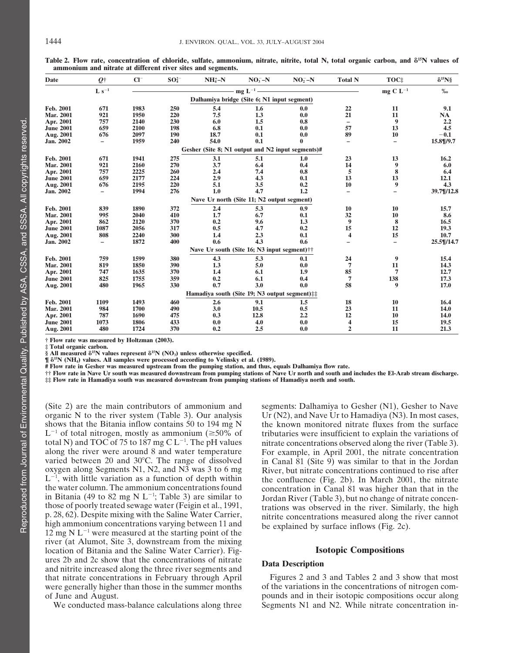| Date             | O†                       | $Cl^-$ | $SO_4^{2-}$ | $NH4-N$                                                | $NO3 - N$                               | $NO2-N$      | <b>Total N</b>           | TOC:                     | $\delta^{15}$ N§ |
|------------------|--------------------------|--------|-------------|--------------------------------------------------------|-----------------------------------------|--------------|--------------------------|--------------------------|------------------|
|                  | $L s^{-1}$               |        |             |                                                        | mg $L^{-1}$ $\overline{\qquad \qquad }$ |              |                          | mg C $L^{-1}$            | $\%$ o           |
|                  |                          |        |             | Dalhamiya bridge (Site 6; N1 input segment)            |                                         |              |                          |                          |                  |
| Feb. 2001        | 671                      | 1983   | 250         | 5.4                                                    | 1.6                                     | 0.0          | 22                       | 11                       | 9.1              |
| Mar. 2001        | 921                      | 1950   | 220         | 7.5                                                    | 1.3                                     | 0.0          | 21                       | 11                       | <b>NA</b>        |
| Apr. 2001        | 757                      | 2140   | 230         | 6.0                                                    | 1.5                                     | 0.8          | $\qquad \qquad -$        | 9                        | 2.2              |
| <b>June 2001</b> | 659                      | 2100   | 198         | 6.8                                                    | 0.1                                     | 0.0          | 57                       | 13                       | 4.5              |
| Aug. 2001        | 676                      | 2097   | 190         | 18.7                                                   | 0.1                                     | 0.0          | 89                       | 10                       | $-0.1$           |
| Jan. 2002        | $\overline{\phantom{0}}$ | 1959   | 240         | 54.0                                                   | 0.1                                     | $\mathbf{0}$ | $\overline{\phantom{0}}$ | $\qquad \qquad -$        | 15.8¶/9.7        |
|                  |                          |        |             | Gesher (Site 8; N1 output and N2 input segments)#      |                                         |              |                          |                          |                  |
| Feb. 2001        | 671                      | 1941   | 275         | 3.1                                                    | 5.1                                     | 1.0          | 23                       | 13                       | 16.2             |
| Mar. 2001        | 921                      | 2160   | 270         | 3.7                                                    | 6.4                                     | 0.4          | 14                       | 9                        | 6.0              |
| Apr. 2001        | 757                      | 2225   | 260         | 2.4                                                    | 7.4                                     | 0.8          | 5                        | 8                        | 6.4              |
| <b>June 2001</b> | 659                      | 2177   | 224         | 2.9                                                    | 4.3                                     | 0.1          | 13                       | 13                       | 12.1             |
| Aug. 2001        | 676                      | 2195   | 220         | 5.1                                                    | 3.5                                     | 0.2          | 10                       | 9                        | 4.3              |
| Jan. 2002        | Ξ.                       | 1994   | 276         | 1.0                                                    | 4.7                                     | 1.2          | $\overline{\phantom{0}}$ | Ξ.                       | 39.7¶/12.8       |
|                  |                          |        |             | Nave Ur north (Site 11; N2 output segment)             |                                         |              |                          |                          |                  |
| Feb. 2001        | 839                      | 1890   | 372         | 2.4                                                    | 5.3                                     | 0.9          | 10                       | 10                       | 15.7             |
| Mar. 2001        | 995                      | 2040   | 410         | 1.7                                                    | 6.7                                     | 0.1          | 32                       | 10                       | 8.6              |
| Apr. 2001        | 862                      | 2120   | 370         | 0.2                                                    | 9.6                                     | 1.3          | 9                        | 8                        | 16.5             |
| <b>June 2001</b> | 1087                     | 2056   | 317         | 0.5                                                    | 4.7                                     | 0.2          | 15                       | 12                       | 19.3             |
| Aug. 2001        | 808                      | 2240   | 300         | 1.4                                                    | 2.3                                     | 0.1          | $\overline{\mathbf{4}}$  | 15                       | 10.7             |
| Jan. 2002        | $\overline{\phantom{0}}$ | 1872   | 400         | 0.6                                                    | 4.3                                     | 0.6          | $\overline{\phantom{0}}$ | $\overline{\phantom{0}}$ | 25.5¶/14.7       |
|                  |                          |        |             | Nave Ur south (Site 16; N3 input segment)††            |                                         |              |                          |                          |                  |
| Feb. 2001        | 759                      | 1599   | 380         | 4.3                                                    | 5.3                                     | 0.1          | 24                       | 9                        | 15.4             |
| Mar. 2001        | 819                      | 1850   | 390         | 1.3                                                    | 5.0                                     | 0.0          | $7\phantom{.0}$          | 11                       | 14.3             |
| Apr. 2001        | 747                      | 1635   | 370         | 1.4                                                    | 6.1                                     | 1.9          | 85                       | 7                        | 12.7             |
| <b>June 2001</b> | 825                      | 1755   | 359         | 0.2                                                    | 6.1                                     | 0.4          | 7                        | 138                      | 17.3             |
| Aug. 2001        | 480                      | 1965   | 330         | 0.7                                                    | 3.0                                     | 0.0          | 58                       | 9                        | 17.0             |
|                  |                          |        |             | Hamadiya south (Site 19; N3 output segment) $\ddagger$ |                                         |              |                          |                          |                  |
| Feb. 2001        | 1109                     | 1493   | 460         | 2.6                                                    | 9.1                                     | 1.5          | 18                       | 10                       | 16.4             |
| <b>Mar. 2001</b> | 984                      | 1700   | 490         | 3.0                                                    | 10.5                                    | 0.5          | 23                       | 11                       | 14.0             |
| Apr. 2001        | 787                      | 1690   | 475         | 0.3                                                    | 12.8                                    | 2.2          | 12                       | 10                       | 14.0             |
| <b>June 2001</b> | 1073                     | 1806   | 433         | 0.0                                                    | 4.0                                     | 0.0          | 4                        | 15                       | 19.5             |
| Aug. 2001        | 480                      | 1724   | 370         | 0.2                                                    | 2.5                                     | 0.0          | $\overline{2}$           | 11                       | 21.3             |

**Table 2. Flow rate, concentration of chloride, sulfate, ammonium, nitrate, nitrite, total N, total organic carbon, and 15N values of ammonium and nitrate at different river sites and segments.**

**† Flow rate was measured by Holtzman (2003).**

**‡ Total organic carbon.**

§ All measured  $\delta^{15}N$  values represent  $\delta^{15}N$  (NO<sub>3</sub>) unless otherwise specified.

**¶ 15N (NH4) values. All samples were processed according to Velinsky et al. (1989).**

**# Flow rate in Gesher was measured upstream from the pumping station, and thus, equals Dalhamiya flow rate.**

**†† Flow rate in Nave Ur south was measured downstream from pumping stations of Nave Ur north and south and includes the El-Arab stream discharge. ‡‡ Flow rate in Hamadiya south was measured downstream from pumping stations of Hamadiya north and south.**

(Site 2) are the main contributors of ammonium and segments: Dalhamiya to Gesher (N1), Gesher to Nave organic N to the river system (Table 3). Our analysis  $U_r(N2)$ , and Nave Ur to Hamadiya (N3). In most cases,  $L^{-1}$  of total nitrogen, mostly as ammonium ( $\geq 50\%$  of total N) and TOC of 75 to 187 mg C  $L^{-1}$ . The pH values<br>along the river were around 8 and water temperature  $L^{-1}$ , with little variation as a function of depth within in Bitania (49 to 82 mg N L<sup>-1</sup>; Table 3) are similar to<br>those of poorly treated sewage water (Feigin et al., 1991,<br>p. 28, 62). Despite mixing with the Saline Water Carrier,<br>high ammonium concentrations varying between 11 river (at Alumot, Site 3, downstream from the mixing location of Bitania and the Saline Water Carrier). Fig- **Isotopic Compositions** ures 2b and 2c show that the concentrations of nitrate<br>
and nitrite increased along the three river segments and<br>
that nitrate concentrations in February through April Figures 2 and 3 and Tables 2 and 3 show that most that nitrate concentrations in February through April Figures 2 and 3 and Tables 2 and 3 show that most<br>were generally higher than those in the summer months of the variations in the concentrations of nitrogen comwere generally higher than those in the summer months

organic N to the river system (Table 3). Our analysis Ur (N2), and Nave Ur to Hamadiya (N3). In most cases, shows that the Bitania inflow contains 50 to 194 mg N the known monitored nitrate fluxes from the surface the known monitored nitrate fluxes from the surface tributaries were insufficient to explain the variations of nitrate concentrations observed along the river (Table 3). along the river were around 8 and water temperature For example, in April 2001, the nitrate concentration varied between 20 and 30°C. The range of dissolved in Canal 81 (Site 9) was similar to that in the Jordan varied between 20 and 30°C. The range of dissolved in Canal  $\hat{8}1$  (Site 9) was similar to that in the Jordan oxygen along Segments N1, N2, and N3 was 3 to 6 mg River, but nitrate concentrations continued to rise after River, but nitrate concentrations continued to rise after  $L^{-1}$ , with little variation as a function of depth within<br>the confluence (Fig. 2b). In March 2001, the nitrate<br>the water column. The ammonium concentrations found<br>in Bitania (49 to 82 mg N L<sup>-1</sup>; Table 3) are similar to

of June and August. pounds and in their isotopic compositions occur along We conducted mass-balance calculations along three Segments N1 and N2. While nitrate concentration in-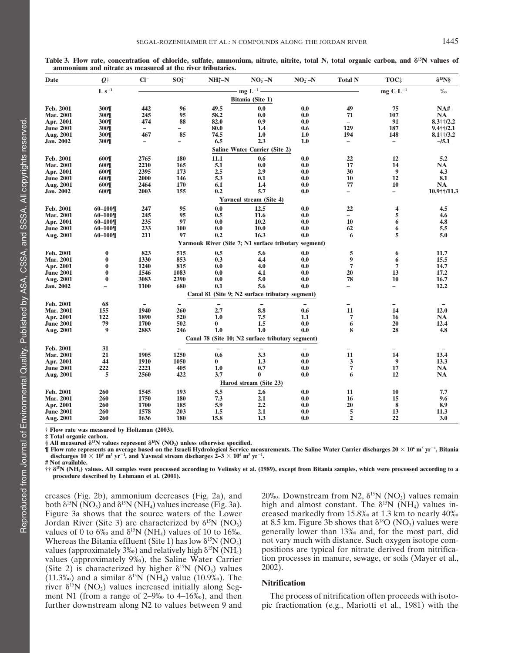| Date             | $Q^+$             | $Cl^-$                   | $SO_4^{2-}$              | $NH4+-N$ | $NO3 - N$                                            | $NO2 - N$ | <b>Total N</b>           | TOC‡                     | $\delta^{15}$ N§ |
|------------------|-------------------|--------------------------|--------------------------|----------|------------------------------------------------------|-----------|--------------------------|--------------------------|------------------|
|                  | $L s^{-1}$        |                          |                          |          | $mg L^{-1}$                                          |           |                          | mg C $L^{-1}$            | $\%$             |
|                  |                   |                          |                          |          | Bitania (Site 1)                                     |           |                          |                          |                  |
| Feb. 2001        | 300¶              | 442                      | 96                       | 49.5     | 0.0                                                  | 0.0       | 49                       | 75                       | NA#              |
| <b>Mar. 2001</b> | 300¶              | 245                      | 95                       | 58.2     | 0.0                                                  | 0.0       | 71                       | 107                      | <b>NA</b>        |
| Apr. 2001        | 300¶              | 474                      | 88                       | 82.0     | 0.9                                                  | 0.0       | $\overline{\phantom{0}}$ | 91                       | $8.3$ ††/2.2     |
| <b>June 2001</b> | 300¶              | $\overline{\phantom{a}}$ | $\overline{\phantom{0}}$ | 80.0     | 1.4                                                  | 0.6       | 129                      | 187                      | $9.4$ ††/2.1     |
| Aug. 2001        | 300¶              | 467                      | 85                       | 74.5     | 1.0                                                  | 1.0       | 194                      | 148                      | $8.1 + 1/3.2$    |
| Jan. 2002        | 300¶              | $\overline{\phantom{m}}$ | $\overline{\phantom{0}}$ | 6.5      | 2.3                                                  | 1.0       | $\overline{\phantom{0}}$ | $\overline{\phantom{a}}$ | $-15.1$          |
|                  |                   |                          |                          |          | <b>Saline Water Carrier (Site 2)</b>                 |           |                          |                          |                  |
| Feb. 2001        | 600¶              | 2765                     | 180                      | 11.1     | 0.6                                                  | 0.0       | 22                       | 12                       | 5.2              |
| <b>Mar. 2001</b> | 600¶              | 2210                     | 165                      | 5.1      | 0.0                                                  | 0.0       | 17                       | 14                       | <b>NA</b>        |
| Apr. 2001        | 600¶              | 2395                     | 173                      | 2.5      | 2.9                                                  | 0.0       | 30                       | 9                        | 4.3              |
| <b>June 2001</b> | 600¶              | 2000                     | 146                      | 5.3      | 0.1                                                  | 0.0       | 10                       | 12                       | 8.1              |
| Aug. 2001        | 600¶              | 2464                     | 170                      | 6.1      | 1.4                                                  | 0.0       | 77                       | 10                       | <b>NA</b>        |
| <b>Jan. 2002</b> | 600¶              | 2003                     | 155                      | 0.2      | 5.7                                                  | 0.0       | $\overline{\phantom{0}}$ | $\overline{\phantom{0}}$ | 10.9++/11.3      |
|                  |                   |                          |                          |          | <b>Yavneal stream (Site 4)</b>                       |           |                          |                          |                  |
| Feb. 2001        | $60 - 100$        | 247                      | 95                       | 0.0      | 12.5                                                 | 0.0       | 22                       | 4                        | 4.5              |
| Mar. 2001        | $60 - 100$        | 245                      | 95                       | 0.5      | 11.6                                                 | 0.0       | $\overline{\phantom{0}}$ | 5                        | 4.6              |
| Apr. 2001        | $60 - 100$        | 235                      | 97                       | 0.0      | 10.2                                                 | 0.0       | 10                       | 6                        | 4.8              |
| <b>June 2001</b> | $60 - 100$        | 233                      | <b>100</b>               | 0.0      | <b>10.0</b>                                          | 0.0       | 62                       | 6                        | 5.5              |
| Aug. 2001        | $60 - 100$        | 211                      | 97                       | 0.2      | 16.3                                                 | 0.0       | 6                        | 5                        | 5.0              |
|                  |                   |                          |                          |          | Yarmouk River (Site 7; N1 surface tributary segment) |           |                          |                          |                  |
| Feb. 2001        | $\bf{0}$          | 823                      | 515                      | 0.5      | 5.6                                                  | 0.0       | 5                        | 6                        | 11.7             |
| <b>Mar. 2001</b> | $\bf{0}$          | 1330                     | 853                      | 0.3      | 4.4                                                  | 0.0       | 9                        | 6                        | 15.5             |
| Apr. 2001        | $\bf{0}$          | 1240                     | 815                      | 0.0      | 4.0                                                  | 0.0       | $\overline{7}$           | $\overline{7}$           | 14.7             |
| <b>June 2001</b> | $\bf{0}$          | 1546                     | 1083                     | 0.0      | 4.1                                                  | 0.0       | 20                       | 13                       | 17.2             |
| Aug. 2001        | $\bf{0}$          | 3083                     | 2390                     | 0.0      | 5.0                                                  | 0.0       | 78                       | 10                       | 16.7             |
| Jan. 2002        | $\qquad \qquad -$ | 1100                     | 680                      | 0.1      | 5.6                                                  | 0.0       | $\overline{\phantom{0}}$ | -                        | 12.2             |
|                  |                   |                          |                          |          | Canal 81 (Site 9; N2 surface tributary segment)      |           |                          |                          |                  |
| Feb. 2001        | 68                |                          |                          |          |                                                      |           | $\overline{\phantom{0}}$ | -                        |                  |
| <b>Mar. 2001</b> | 155               | 1940                     | 260                      | 2.7      | 8.8                                                  | 0.6       | 11                       | 14                       | 12.0             |
| Apr. 2001        | 122               | 1890                     | 520                      | 1.0      | 7.5                                                  | 1.1       | 7                        | 16                       | <b>NA</b>        |
| <b>June 2001</b> | 79                | 1700                     | 502                      | $\bf{0}$ | 1.5                                                  | 0.0       | 6                        | 20                       | 12.4             |
| Aug. 2001        | 9                 | 2883                     | 246                      | 1.0      | 1.0                                                  | 0.0       | 8                        | 28                       | 4.8              |
|                  |                   |                          |                          |          | Canal 78 (Site 10; N2 surface tributary segment)     |           |                          |                          |                  |
| Feb. 2001        | 31                | $\overline{\phantom{a}}$ |                          |          | $\overline{\phantom{0}}$                             |           | $\overline{\phantom{0}}$ | $\overline{\phantom{0}}$ |                  |
| <b>Mar. 2001</b> | 21                | 1905                     | 1250                     | 0.6      | 3.3                                                  | 0.0       | 11                       | 14                       | 13.4             |
| Apr. 2001        | 44                | 1910                     | 1050                     | $\bf{0}$ | 1.3                                                  | 0.0       | 3                        | 9                        | 13.3             |
| <b>June 2001</b> | 222               | 2221                     | 405                      | 1.0      | 0.7                                                  | 0.0       | 7                        | 17                       | <b>NA</b>        |
| Aug. 2001        | 5                 | 2560                     | 422                      | 3.7      | $\bf{0}$                                             | 0.0       | 6                        | 12                       | <b>NA</b>        |
|                  |                   |                          |                          |          | Harod stream (Site 23)                               |           |                          |                          |                  |
| Feb. 2001        | 260               | 1545                     | 193                      | 5.5      | 2.6                                                  | 0.0       | 11                       | 10                       | 7.7              |
| <b>Mar. 2001</b> | 260               | 1750                     | 180                      | 7.3      | 2.1                                                  | 0.0       | 16                       | 15                       | 9.6              |
| Apr. 2001        | 260               | <b>1700</b>              | 185                      | 5.9      | 2,2                                                  | 0.0       | 20                       | 8                        | 8.9              |
|                  |                   | 1578                     | 203                      | 1.5      | 2.1                                                  | 0.0       | 5                        | 13                       | 11.3             |
| <b>June 2001</b> | 260               |                          |                          |          |                                                      |           | $\overline{2}$           | 22                       | 3.0              |

**Table 3. Flow rate, concentration of chloride, sulfate, ammonium, nitrate, nitrite, total N, total organic carbon, and 15N values of ammonium and nitrate as measured at the river tributaries.**

**Total organic or** 

§ All measured  $\delta^{15}N$  values represent  $\delta^{15}N$  (NO<sub>3</sub>) unless otherwise specified.

**¶ Flow rate represents an average based on the Israeli Hydrological Service measurements. The Saline Water Carrier discharges 20 106 m3 yr<sup>1</sup> , Bitania** discharges  $10 \times 10^6$  m<sup>3</sup> yr<sup>-1</sup>, and Yavneal stream discharges  $\tilde{2}-3 \times 10^6$  m<sup>3</sup> yr<sup>-1</sup>.

**# Not available.**

**†† 15N (NH4) values. All samples were processed according to Velinsky et al. (1989), except from Bitania samples, which were processed according to a procedure described by Lehmann et al. (2001).**

creases (Fig. 2b), ammonium decreases (Fig. 2a), and 20‰. Downstream from N2,  $\delta^{15}N$  (NO<sub>3</sub>) values remain both  $\delta^{15}N$  (NO<sub>3</sub>) and  $\delta^{15}N$  (NH<sub>4</sub>) values increase (Fig. 3a). high and almost constant. The  $\delta^{15}N$ both  $\delta^{15}N$  (NO<sub>3</sub>) and  $\delta^{15}N$  (NH<sub>4</sub>) values increase (Fig. 3a). <br>Figure 3a shows that the source waters of the Lower creased markedly from 15.8‰ at 1.3 km to nearly 40‰ Jordan River (Site 3) are characterized by  $\delta^{15}N(NO_3)$  at 8.5 km. Figure 3b shows that  $\delta^{18}O(NO_3)$  values were values of 0 to  $6\%$  and  $\delta^{15}N(NH_4)$  values of 10 to 16‰ enerally lower than 13‰ and, for the most pa values of 0 to 6‰ and  $\delta^{15}N$  (NH<sub>4</sub>) values of 10 to 16‰. generally lower than 13‰ and, for the most part, did Whereas the Bitania effluent (Site 1) has low  $\delta^{15}N$  (NO<sub>3</sub>) not vary much with distance. Such oxygen is Whereas the Bitania effluent (Site 1) has low  $\delta^{15}N(NO_3)$  not vary much with distance. Such oxygen isotope com-<br>values (approximately 3‰) and relatively high  $\delta^{15}N(NH_4)$  positions are typical for nitrate derived fro values (approximately 3‰) and relatively high  $\delta^{15}N(NH_4)$  positions are typical for nitrate derived from nitrifica-<br>values (approximately 9‰), the Saline Water Carrier tion processes in manure, sewage, or soils (Mayer values (approximately 9‰), the Saline Water Carrier tion processes in manuform in manuform in manuform  $\delta^{15}N$  (NO<sub>2</sub>) values al., 2002). (Site 2) is characterized by higher  $\delta^{15}N$  (NO<sub>3</sub>) values (11.3‰) and a similar  $\delta^{15}N$  (NH<sub>4</sub>) value (10.9‰). The (11.3‰) and a similar  $\sigma$  is  $(1.14)$  value  $(1.55\%)$ . The **Nitrification** river  $\delta^{15}N$  (NO<sub>3</sub>) values increased initially along Segment N1 (from a range of 2–9‰ to 4–16‰), and then The process of nitrification often proceeds with isotofurther downstream along N2 to values between 9 and pic fractionation (e.g., Mariotti et al., 1981) with the

creased markedly from 15.8‰ at 1.3 km to nearly 40‰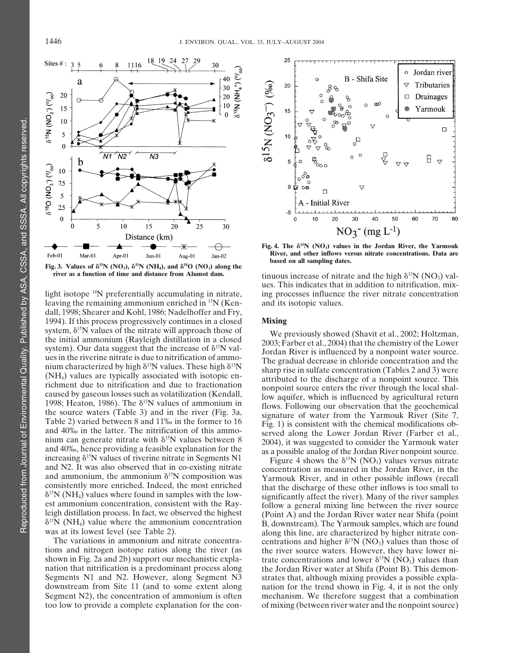

leaving the remaining ammonium enriched in  $15N$  (Kendall, 1998; Shearer and Kohl, 1986; Nadelhoffer and Fry, 1994). If this process progressively continues in a closed **Mixing** system,  $\delta^{15}$ N values of the nitrate will approach those of  $W_{0,0}$ system, 8<sup>5%</sup> Values of the nitrice will approach those of<br>system (Shavit et al., 2002; Holtzman,<br>system). Our data suggest that the increase of  $8^{18}$ N val-<br>system). Our data suggest that the increase of  $8^{18}$ N val-<br>s



**Fig. 4. The 15N (NO3) values in the Jordan River, the Yarmouk River, and other inflows versus nitrate concentrations. Data are**

**tinuous increase of nitrate and the high**  $\delta^{15}N$  **(NO<sub>3</sub>) val**ues. This indicates that in addition to nitrification, mixlight isotope <sup>14</sup>N preferentially accumulating in nitrate, ing processes influence the river nitrate concentration leaving the remaining ammonium enriched in <sup>15</sup>N (Ken- and its isotopic values.

The variations in ammonium and nitrate concentra-<br>tions and higher  $\delta^{15}N (NO_3)$  values than those of<br>shown in Fig. 2a and 2b) support our mechanistic expla-<br>trate concentrations and lower  $\delta^{15}N (NO_3)$  values than shown in Fig. 2a and 2b) support our mechanistic expla-<br>nation that nitrification is a predominant process along the Jordan River water at Shifa (Point B). This demonnation that nitrification is a predominant process along the Jordan River water at Shifa (Point B). This demon-<br>Segments N1 and N2. However, along Segment N3 strates that, although mixing provides a possible expla-Segments N1 and N2. However, along Segment N3 strates that, although mixing provides a possible expla-<br>downstream from Site 11 (and to some extent along anation for the trend shown in Fig. 4, it is not the only nation for the trend shown in Fig. 4, it is not the only Segment N2), the concentration of ammonium is often mechanism. We therefore suggest that a combination too low to provide a complete explanation for the con- of mixing (between river water and the nonpoint source)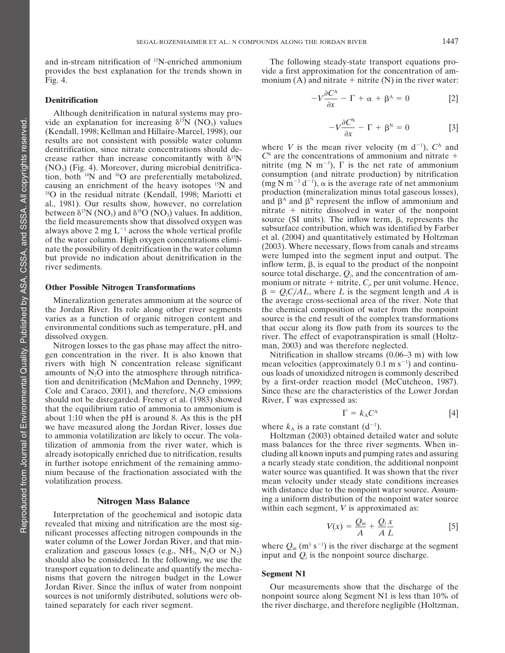and in-stream nitrification of 15N-enriched ammonium The following steady-state transport equations pro-

## **Denitrification**

Although denitrification in natural systems may provide an explanation for increasing  $\delta^{15}N$  (NO<sub>3</sub>) values (Kendall, 1998; Kellman and Hillaire-Marcel, 1998), our results are not consistent with possible water column<br>dentitivation since pitrate concentrations should de-<br>where *V* is the mean river velocity (m d<sup>-1</sup>),  $C^{\text{A}}$  and  $\alpha$  denitrification, since nitrate concentrations should decrease rather than increase concomitantly with  $\delta^{15}N$  (NO<sub>3</sub>) (Fig. 4). Moreover, during microbial denitrifica-

Nitrogen losses to the gas phase may affect the nitro- man, 2003) and was therefore neglected. gen concentration in the river. It is also known that Nitrification in shallow streams (0.06–3 m) with low rivers with high N concentration release significant amounts of  $N_2O$  into the atmosphere through nitrification and denitrification (McMahon and Dennehy, 1999; should not be disregarded. Freney et al.  $(1983)$  showed River,  $\Gamma$  was expressed as: that the equilibrium ratio of ammonia to ammonium is<br>about 1:10 when the pH is around 8. As this is the pH<br>we have measured along the Jordan River, losses due where  $k_A$  is a rate constant (d<sup>-1</sup>). we have measured along the Jordan River, losses due where  $k_A$  is a rate constant  $(d^{-1})$ .<br>to ammonia volatilization are likely to occur. The vola-<br>Holtzman (2003) obtained detailed water and solute to ammonia volatilization are likely to occur. The vola-<br>
tilization of ammonia from the river water, which is mass balances for the three river segments. When intilization of ammonia from the river water, which is

Interpretation of the geochemical and isotopic data revealed that mixing and nitrification are the most significant processes affecting nitrogen compounds in the water column of the Lower Jordan River, and that min-<br>eralization and gaseous losses (e.g., NH<sub>3</sub>, N<sub>2</sub>O or N<sub>2</sub>) where  $Q_{\text{in}}$  (m<sup>3</sup> s<sup>-1</sup>) is the river discharge at the s<br>elected the considered In the following means water column of the Eower Jordan Kiver, and that film-<br>eralization and gaseous losses (e.g., NH<sub>3</sub>, N<sub>2</sub>O or N<sub>2</sub>) where  $Q_{in}$  (m<sup>3</sup> s<sup>-1</sup>) is the river discharge at the segment<br>input and  $Q_j$  is the nonpoint source disc transport equation to define and quantify the mecha-<br>nisms that govern the nitrogen budget in the Lower<br>Segment N1 Jordan River. Since the influx of water from nonpoint Our measurements show that the discharge of the

provides the best explanation for the trends shown in vide a first approximation for the concentration of am-Fig. 4. **monium (A)** and nitrate + nitrite (N) in the river water:

$$
-V\frac{\partial C^A}{\partial x} - \Gamma + \alpha + \beta^A = 0
$$
 [2]

$$
-V\frac{\partial C^N}{\partial x} - \Gamma + \beta^N = 0
$$
 [3]

 $C<sup>N</sup>$  are the concentrations of ammonium and nitrate + nitrite (mg N m<sup>-3</sup>),  $\Gamma$  is the net rate of ammonium (i) tion, both <sup>14</sup>N and <sup>16</sup>O are preferentially metabolized, consumption (and nitrate production) by nitrification causing an enrichment of the heavy isotones <sup>15</sup>N and (mg N m<sup>-3</sup> d<sup>-1</sup>),  $\alpha$  is the average rate of ne causing an enrichment of the heavy isotopes <sup>15</sup>N and  $(\text{mg N m}^{-3} d^{-1})$ ,  $\alpha$  is the average rate of net ammonium<br><sup>18</sup>O in the residual nitrate (Kendall, 1998; Mariotti et production (mineralization minus total gaseous los <sup>18</sup>O in the residual nitrate (Kendall, 1998; Mariotti et production (mineralization minus total gaseous losses),<br>al. 1981) Our results show however no correlation and  $\beta^A$  and  $\beta^N$  represent the inflow of ammonium an al., 1981). Our results show, however, no correlation and  $\beta^{\alpha}$  and  $\beta^{\beta}$  represent the inflow of ammonium and between  $\delta^{15}N$  (NO<sub>3</sub>) and  $\delta^{18}O$  (NO<sub>3</sub>) values. In addition, intrate  $\pm$  nitrite dissolved in w between  $\delta^{15}N(NO_3)$  and  $\delta^{18}O(NO_3)$  values. In addition,  $\delta^{15}N(NO_3)$  and  $\delta^{18}O(NO_3)$  values. In addition,  $\delta^{15}N(NO_3)$  and  $\delta^{18}O(NO_3)$  values. In addition,  $\delta^{15}O(NO_3)$  was source (SI units). The inflow source total discharge,  $Q_i$ , and the concentration of am-**Other Possible Nitrogen Transformations** monium or nitrate + nitrite,  $C_j$ , per unit volume. Hence,  $\beta = Q_j C_j / A L$ , where *L* is the segment length and *A* is Mineralization generates ammonium at the source of the average cross-sectional area of the river. Note that the Jordan River. Its role along other river segments the chemical composition of water from the nonpoint varies as a function of organic nitrogen content and source is the end result of the complex transformations varies as a function of organic nitrogen content and source is the end result of the complex transformations environmental conditions such as temperature, pH, and that occur along its flow path from its sources to the that occur along its flow path from its sources to the dissolved oxygen. The effect of evapotranspiration is small (Holtz-

mean velocities (approximately  $0.1 \text{ m s}^{-1}$ ) and continuous loads of unoxidized nitrogen is commonly described<br>by a first-order reaction model (McCutcheon, 1987). Cole and Caraco, 2001), and therefore,  $N_2O$  emissions Since these are the characteristics of the Lower Jordan

$$
\Gamma = k_{\rm A} C^{\rm A} \tag{4}
$$

already isotopically enriched due to nitrification, results cluding all known inputs and pumping rates and assuring in further isotope enrichment of the remaining ammo- a nearly steady state condition, the additional nonpoint nium because of the fractionation associated with the water source was quantified. It was shown that the river volatilization process. mean velocity under steady state conditions increases with distance due to the nonpoint water source. Assum-**Nitrogen Mass Balance** ing a uniform distribution of the nonpoint water source within each segment, *V* is approximated as:

$$
V(x) = \frac{Q_{\text{in}}}{A} + \frac{Q_j x}{A L}
$$
 [5]

sources is not uniformly distributed, solutions were ob- nonpoint source along Segment N1 is less than 10% of tained separately for each river segment. the river discharge, and therefore negligible (Holtzman,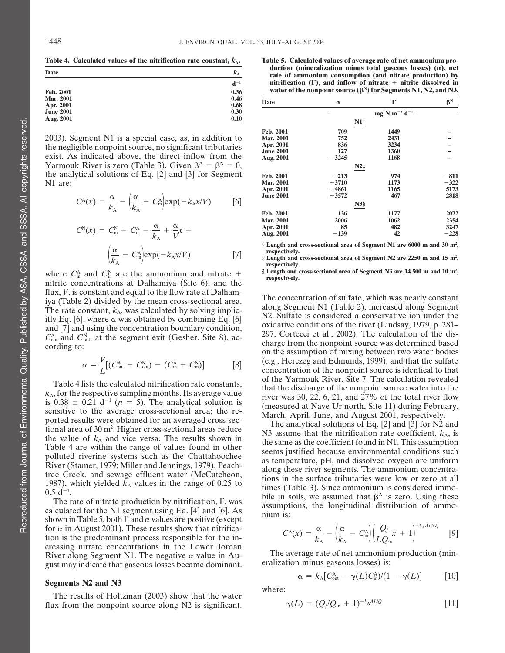| Date                          | $K_A$            | $\alpha$ auction (immeranzation minus total gaseous losses) ( $\alpha$ ), in<br>rate of ammonium consumption (and nitrate production) I |                                                                                                                                               |                                             |       |  |  |
|-------------------------------|------------------|-----------------------------------------------------------------------------------------------------------------------------------------|-----------------------------------------------------------------------------------------------------------------------------------------------|---------------------------------------------|-------|--|--|
| Feb. 2001                     | $d^{-1}$<br>0.36 |                                                                                                                                         | nitrification $(\Gamma)$ , and inflow of nitrate $+$ nitrite dissolved<br>water of the nonpoint source $(\beta^N)$ for Segments N1, N2, and N |                                             |       |  |  |
| <b>Mar. 2001</b><br>Apr. 2001 | 0.46<br>0.68     | Date                                                                                                                                    |                                                                                                                                               |                                             | $B^N$ |  |  |
| <b>June 2001</b><br>Aug. 2001 | 0.30<br>0.10     |                                                                                                                                         |                                                                                                                                               | $-$ mg N m <sup>-3</sup> d <sup>-1</sup> —— |       |  |  |
|                               |                  |                                                                                                                                         | N1†                                                                                                                                           |                                             |       |  |  |

$$
C^{A}(x) = \frac{\alpha}{k_{A}} - \left(\frac{\alpha}{k_{A}} - C_{in}^{A}\right) \exp(-k_{A}x/V) \qquad [6]
$$

$$
C^{N}(x) = C_{in}^{N} + C_{in}^{A} - \frac{\alpha}{k_{A}} + \frac{\alpha}{V}x +
$$
\nAns. 2001

\nAny. 2001

\nAny. 2001

\nAny. 2001

\nmay. 2001

\nit Length and respectively.

\n[7]

\nrespectively,  $\frac{\alpha}{k_{A}} - C_{in}^{A}$  is length and respectively.

where  $C_{\text{in}}$  and  $C_{\text{in}}$  are the annothed and intrince  $\ell$  respectively. flux, *V*, is constant and equal to the flow rate at Dalham-<br>iya (Table 2) divided by the mean cross-sectional area.<br>The concentration of sulfate, which was nearly constant<br>itly Eq. [6], where  $\alpha$  was obtained by solving

$$
\alpha = \frac{V}{L}[(C_{\text{out}}^{\text{A}} + C_{\text{out}}^{\text{N}}) - (C_{\text{in}}^{\text{A}} + C_{\text{in}}^{\text{N}})]
$$
 [8]

Table 4 lists the calculated nitrification rate constants,<br>  $k_A$ , for the respective sampling months. Its average value<br>
is 0.38  $\pm$  0.21 d<sup>-1</sup> (*n* = 5). The analytical solution is<br>
sensitive to the average cross-sectio

for  $\alpha$  in August 2001). These results show that nitrification is the predominant process responsible for the increasing nitrate concentrations in the Lower Jordan River along Segment N1. The negative  $\alpha$  value in Au-<br>
gust may indicate that gaseous losses became dominant eralization minus gaseous losses) is: gust may indicate that gaseous losses became dominant.

The results of Holtzman (2003) show that the water flux from the nonpoint source along N2 is significant.

Table 4. Calculated values of the nitrification rate constant,  $k_A$ . Table 5. Calculated values of average rate of net ammonium pro-<br>  $\frac{1}{k_B}$  Table 5. Calculated values of average rate of net ammonium pro-<br>  $\frac{1}{k_B}$  rate of ammonium consumption (and nitrate production) by **d<sup>1</sup> nitrification (), and inflow of nitrate** - **nitrite dissolved in water of the nonpoint source**  $(\beta^N)$  **for Segments N1, N2, and N3.** 

| Mar. 2001<br><b>U.40</b><br>0.68<br>Apr. 2001                                                        | Date             | $\alpha$                               |             | $\beta^N$ |  |
|------------------------------------------------------------------------------------------------------|------------------|----------------------------------------|-------------|-----------|--|
| <b>June 2001</b><br>0.30                                                                             |                  | mg N m <sup>-3</sup> d <sup>-1</sup> - |             |           |  |
| 0.10<br>Aug. 2001                                                                                    |                  | $N1+$                                  |             |           |  |
|                                                                                                      | Feb. 2001        | 709                                    | 1449        |           |  |
| 2003). Segment N1 is a special case, as, in addition to                                              | <b>Mar. 2001</b> | 752                                    | 2431        |           |  |
| the negligible nonpoint source, no significant tributaries                                           | Apr. 2001        | 836                                    | 3234        |           |  |
|                                                                                                      | <b>June 2001</b> | 127                                    | <b>1360</b> |           |  |
| exist. As indicated above, the direct inflow from the                                                | Aug. 2001        | $-3245$                                | 1168        |           |  |
| Yarmouk River is zero (Table 3). Given $\beta^A = \beta^N = 0$ ,                                     |                  | $N2\ddagger$                           |             |           |  |
| the analytical solutions of Eq. [2] and [3] for Segment                                              | Feb. 2001        | $-213$                                 | 974         | $-811$    |  |
| N1 are:                                                                                              | <b>Mar. 2001</b> | $-3710$                                | 1173        | $-322$    |  |
|                                                                                                      | Apr. 2001        | $-4861$                                | 1165        | 5173      |  |
|                                                                                                      | <b>June 2001</b> | $-3572$                                | 467         | 2818      |  |
| $C^{A}(x) = \frac{\alpha}{k_a} - \left(\frac{\alpha}{k_a} - C_{in}^{A}\right) \exp(-k_A x/V)$<br>[6] |                  | $N3\$                                  |             |           |  |
|                                                                                                      | Feb. 2001        | 136                                    | 1177        | 2072      |  |
|                                                                                                      | <b>Mar. 2001</b> | 2006                                   | 1062        | 2354      |  |
|                                                                                                      | Apr. 2001        | $-85$                                  | 482         | 3247      |  |
| $C^{N}(x) = C_{in}^{N} + C_{in}^{A} - \frac{\alpha}{k_{A}} + \frac{\alpha}{V}x +$                    | Aug. 2001        | $-139$                                 | 42          | $-228$    |  |
|                                                                                                      |                  |                                        |             |           |  |

**† Length and cross-sectional area of Segment N1 are 6000 m and 30 m2 ,**

 $\lim_{n \to \infty}$  exp( $-k_A x/V$ ) [7] **the respectively.**<br> **‡ Length and cross-sectional area of Segment N2 are 2250 m and 15 m<sup>2</sup>, respectively.**

**§ Length and cross-sectional area of Segment N3 are 14 500 m and 10 m2** where  $C_{\text{in}}^{\text{A}}$  and  $C_{\text{in}}^{\text{N}}$  are the ammonium and nitrate  $+$   $\frac{\text{S Length and cross-sectional area of Segment N3 are 14,500 m and 10 m²}}{\text{respectively.}}$ 

 $C_{\text{out}}^{\text{A}}$  and  $C_{\text{out}}^{\text{N}}$ , at the segment exit (Gesher, Site 8), ac-<br>cording to: cording to:  $C_{\text{out}}^{\text{A}}$  at the segment exit (Gesher, Site 8), ac-<br>cording from the nonpoint source was determined based<br>on the (e.g., Herczeg and Edmunds, 1999), and that the sulfate concentration of the nonpoint source is identical to that

tional area of 30 m<sup>2</sup>. Higher cross-sectional areas reduce<br>the value of  $k_A$  and vice versa. The results shown in<br>Table 4 are within the range of values found in other<br>polluted riverine systems such as the Chattahoochee<br>  $0.5 d^{-1}$ .<br>
The rate of nitrate production by nitrification,  $\Gamma$ , was<br>
calculated for the N1 segment using Eq. [4] and [6]. As<br>
shown in Table 5, both  $\Gamma$  and  $\alpha$  values are positive (except<br>  $\alpha$ 

$$
C^{\mathcal{A}}(x) = \frac{\alpha}{k_{\mathcal{A}}} - \left(\frac{\alpha}{k_{\mathcal{A}}} - C^{\mathcal{A}}_{\text{in}}\right) \left(\frac{Q_j}{LQ_{\text{in}}}x + 1\right)^{-k_{\mathcal{A}}AL/Q_j} \quad [9]
$$

**Segments N2 and N3**  
\n
$$
\alpha = k_{A} [C_{out}^{A} - \gamma(L) C_{in}^{A})/(1 - \gamma(L)]
$$
\n[10]

$$
\gamma(L) = (Q_j/Q_{\text{in}} + 1)^{-k_A AL/Q} \tag{11}
$$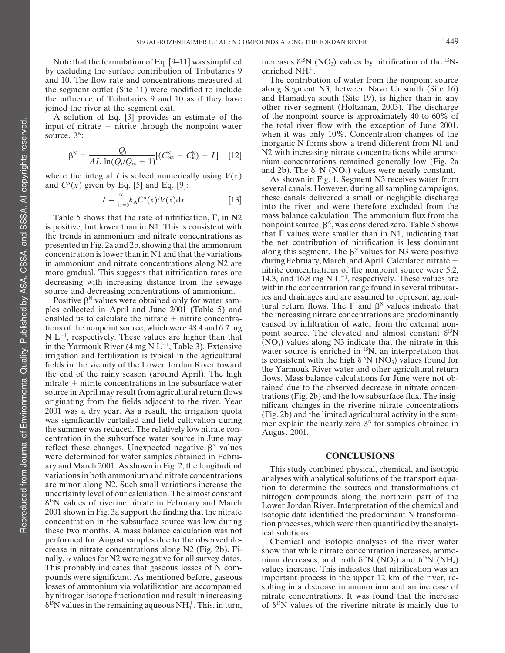by excluding the surface contribution of Tributaries 9 . enriched  $NH_4^+$ .<br>and 10. The flow rate and concentrations measured at The contribution of water from the nonpoint source and 10. The flow rate and concentrations measured at the segment outlet (Site 11) were modified to include along Segment N3, between Nave Ur south (Site 16) the influence of Tributaries 9 and 10 as if they have and Hamadiya south (Site 19), is higher than in any the influence of Tributaries 9 and 10 as if they have

$$
\beta^{\rm N} = \frac{Q_j}{AL \ln(Q_j/Q_{\rm in} + 1)} [(C_{\rm out}^{\rm N} - C_{\rm in}^{\rm N}) - I] \quad [12]
$$

where the integral I is solved numerically using  $V(x)$  and 2b). The  $\delta^{15}N$  (NO<sub>3</sub>) values were nearly constant.<br>As shown in Fig. 1, Segment N3 receives water from several canals. However, during all sampling campaigns,

$$
I = \int_{x=0}^{L} k_{\rm A} C^{\rm A}(x) / V(x) \mathrm{d}x \tag{13}
$$

more gradual. This suggests that nitrification rates are

mitrate + nitrite concentrations in the subsurface water<br>source in April may result from agricultural return flows<br>originating from the fields adjacent to the river. Year<br>2001 was a dry year. As a result, the irrigation q reflect these changes. Unexpected negative  $\beta^N$  values were determined for water samples obtained in Febru- **CONCLUSIONS** ary and March 2001. As shown in Fig. 2, the longitudinal<br>variations in both ammonium and nitrate concentrations<br>are minor along N2. Such small variations increase the<br>uncertainty level of our calculation. The almost consta performed for August samples due to the observed de-<br>
crease in nitrate concentrations along N2 (Fig. 2b). Fi-<br>
show that while nitrate concentration increases, ammo-<br>
nilly,  $\alpha$  values for N2 were negative for all surve  $\delta^{15}$ N values in the remaining aqueous NH<sub>4</sub><sup>+</sup>. This, in turn, of  $\delta^{15}$ N values of the riverine nitrate is mainly due to

Note that the formulation of Eq. [9–11] was simplified increases  $\delta^{15}N$  (NO<sub>3</sub>) values by nitrification of the <sup>15</sup>Nenriched NH<sub>4</sub>+

joined the river at the segment exit.<br>
A solution of Eq. [3] provides an estimate of the of the nonpoint source is approximately 40 to 60% of A solution of Eq. [3] provides an estimate of the of the nonpoint source is approximately 40 to 60% of put of nitrate  $+$  nitrite through the nonpoint water the total river flow with the exception of June 2001, input of nitrate  $+$  nitrite through the nonpoint water  $\qquad$  the total river flow with the exception of June 2001, source,  $\beta^N$ : when it was only 10%. Concentration changes of the inorganic N forms show a trend different from N1 and N<sub>2</sub> with increasing nitrate concentrations while ammonium concentrations remained generally low (Fig. 2a.

these canals delivered a small or negligible discharge *<sup>I</sup>*  $i$ <sub>th</sub> the river and were therefore excluded from the Table 5 shows that the rate of nitrification,  $\Gamma$ , in N2 mass balance calculation. The ammonium flux from the nositive, but lower than in N1. This is consistent with nonpoint source,  $\beta^A$ , was considered zero. Table 5 is positive, but lower than in N1. This is consistent with incorpoint source,  $\beta^A$ , was considered zero. Table 5 shows the trends in ammonium and nitrate concentrations as that  $\Gamma$  values were smaller than in N1, indic presented in Fig. 2a and 2b, showing that the ammonium the net contribution of nitrification is less dominant concentration is lower than in N1 and that the variations along this segment. The  $\beta^N$  values for N3 were pos in ammonium and nitrate concentrations along N2 are during February, March, and April. Calculated nitrate +  $\frac{1}{2}$  more gradual. This suggests that nitrification rates are during representations of the nonpoint source during February, March, and April. Calculated nitrate  $+$ 14.3, and 16.8 mg N  $L^{-1}$ , respectively. These values are within the concentration range found in several tributardecreasing with increasing distance from the sewage<br>source and decreasing concentrations of ammonium.<br>Positive  $\beta^N$  values were obtained only for water samples and drainages and are assumed to represent agricul-<br>ples co enabled us to calculate the nitrate + nitrite concentra-<br>tions of the nonpoint source, which were 48.4 and 6.7 mg<br>N L<sup>-1</sup>, respectively. These values are higher than that<br>point source. The elevated and almost constant  $\delta$  $\sum_{i=1}^{N}$ , respectively. These values are higher than that  $\sum_{i=1}^{N}$  (NO<sub>3</sub>) values along N3 indicate that the nitrate in this in the Yarmouk River (4 mg N L<sup>-1</sup>, Table 3). Extensive water source is enriched in <sup>15</sup> in the Yarmouk River (4 mg N L<sup>-1</sup>, Table 3). Extensive<br>irrigation and fertilization is typical in the agricultural<br>fields in the vicinity of the Lower Jordan River toward<br>the end of the rainy season (around April). The h

uncertainty level of our calculation. The almost constant<br>  $\delta^{15}$ N values of riverine nitrate in February and March<br>  $\delta^{15}$ N values of riverine nitrate in February and March<br>
2001 shown in Fig. 3a support the finding

nally,  $\alpha$  values for N2 were negative for all survey dates. nium decreases, and both  $\delta^{15}N$  (NO<sub>3</sub>) and  $\delta^{15}N$  (NH<sub>4</sub>) This probably indicates that gaseous losses of N com-<br>values increase. This indicates that nit values increase. This indicates that nitrification was an pounds were significant. As mentioned before, gaseous important process in the upper 12 km of the river, relosses of ammonium via volatilization are accompanied sulting in a decrease in ammonium and an increase of by nitrogen isotope fractionation and result in increasing nitrate concentrations. It was found that the increase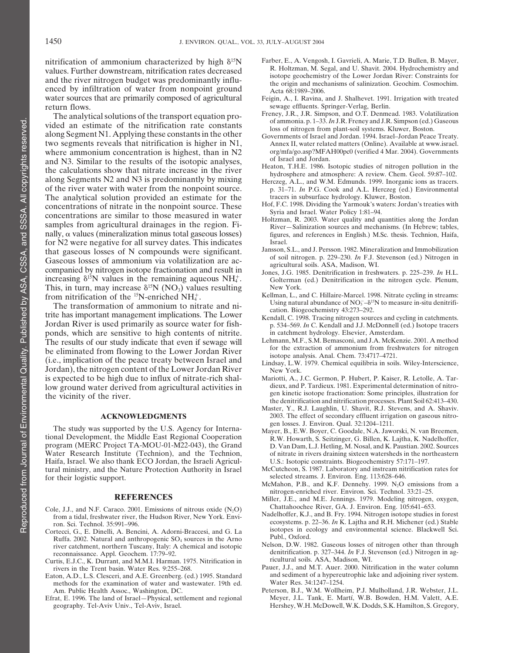values. Further downstream, nitrification rates decreased<br>and the river nitrogen budget was predominantly influ-<br>enced by infiltration of water from nonpoint ground<br>water sources that are primarily composed of agricultural water sources that are primarily composed of agricultural return flows.<br>The analytical solutions of the transport equation pro-<br>Frency, J.R., J.R. Simpson, and O.T. Denmead. 1983. Volatilization<br>The analytical solutions of the transport equation pro-<br>Frency, J.R., J.R. Simpson, a

The analytical solutions of the transport equation pro-<br>vided an estimate of the nitrification rate constants<br>along Segment N1. Applying these constants in the other<br>two segments reveals that nitrification is higher in N1, two segments reveals that nitrification is higher in  $N1$ , where ammonium concentration is highest, than in N2 org/mfa/go.asp?MFAH00pc0 (verified 4 Mar. 2004). Governments and N3. Similar to the results of the isotopic analyses, the calculations show that nitrate increase in the river<br>along Segments N2 and N3 is predominantly by mixing<br>of the river water with water from the nonpoint source.<br>There are along M.L., and W.M. Edmunds. 1999. Inorganic i The analytical solution provided an estimate for the tracers in subsurface hydrology. Kluwer, Boston.<br>Concentrations of nitrate in the nonpoint source These Hof, F.C. 1998. Dividing the Yarmouk's waters: Jordan's treaties concentrations of nitrate in the nonpoint source. These that  $\frac{1}{2}$  and Israel. Water Policy 1:81–94.<br>
Some similar to those measured in water  $\frac{1}{2}$  and Israel. Water Policy 1:81–94.<br>
Some samples from agricultural nally,  $\alpha$  values (mineralization minus total gaseous losses) for N2 were negative for all survey dates. This indicates Israel.<br>
In that gaseous losses of N compounds were significant Jansson, S.L., and J. Persson. 1982. Mineralization and Immobilization that gaseous losses of N compounds were significant.<br>
Gaseous losses of ammonium via volatilization are accompanied by nitrogen isotope fractionation and result in<br>
companied by nitrogen isotope fractionation and result in increasing  $\delta^{15}N$  values in the remaining aqueous NH $_4^+$ This, in turn, may increase  $\delta^{15}N$  (NO<sub>3</sub>) values resulting New York.<br>
15N (NO<sub>3</sub>) values resulting New York.<br>
1998. Nitrate cycling in streams:

The transformation of animometric include and m<br>trite has important management implications. The Lower<br>Kendall, C. 1998. Tracing nitrogen sources and cycling in catchments. ponds, which are sensitive to high contents of nitrite. in catchment hydrology. Elsevier, Amsterdam.<br>The results of our study indicate that even if sewage will Lehmann, M.F., S.M. Bemasconi, and J.A. McKenzie. 2001. A meth be eliminated from flowing to the Lower Jordan River<br>
(i.e., implication of the peace treaty between Israel and<br>
Lindsay, L.W. 1979. Chemical equilibria in soils. Wiley-Interscience, Jordan), the nitrogen content of the Lower Jordan River  $N_{\text{ew}}$  York. is expected to be high due to influx of nitrate-rich shal-<br>
low ground water derived from agricultural activities in dieux, and P. Tardieux. 1981. Experimental determination of nitro-

The study was supported by the U.S. Agency for International Development, the Middle East Regional Cooperation<br>
Mayer, B., E.W. Boyer, C. Goodale, N.A. Jaworski, N. van Breemen,<br>
mayer, B., E.W. Boyer, C. Goodale, N.A. Jaw program (MERC Project TA-MOU-01-M22-043), the Grand Haifa, Israel. We also thank ECO Jordan, the Israeli Agricultural ministry, and the Nature Protection Authority in Israel McCutcheon, S. 1987. Laboratory and instream nitrification rates for<br>for their logistic support.<br>for their logistic support.

- 
- Cortecci, G., E. Dinelli, A. Bencini, A. Adorni-Braccesi, and G. La isotopes in equality and entire concernic SQ. sources in the Arno. Publ., Oxford. Ruffa. 2002. Natural and anthropogenic  $SO_4$  sources in the Arno river catchment, northern Tuscany, Italy: A chemical and isotopic
- Curtis, E.J.C., K. Durrant, and M.M.I. Harman. 1975. Nitrification in rivers in the Trent basin. Water Res. 9:255-268.
- Eaton, A.D., L.S. Clesceri, and A.E. Greenberg. (ed.) 1995. Standard and sediment of a hypereu<br>methods for the examination of water and wastewater. 19th ed. Water Res. 34:1247–1254. methods for the examination of water and wastewater. 19th ed.
- Efrat, E. 1996. The land of Israel-Physical, settlement and regional
- nitrification of ammonium characterized by high  $\delta^{15}N$  Farber, E., A. Vengosh, I. Gavrieli, A. Marie, T.D. Bullen, B. Mayer, 15N and 15N and 15N and 15N and 15N and 15N and 15N and 15N and 15N and 15N and 15N and 15N an
	-
	-
	-
	-
	- p. 31–71. *In* P.G. Cook and A.L. Herczeg (ed.) Environmental
	-
	-
	-
	- Golterman (ed.) Denitrification in the nitrogen cycle. Plenum,
- from nitrification of the <sup>15</sup>N-enriched NH<sub>4</sub><sup>+</sup>. Kellman, L., and C. Hillaire-Marcel. 1998. Nitrate cycling in streams: The transformation of ammonium to nitrate and ni-<br>The transformation of ammonium to nitrate and ni-<br> $\frac{U \sin \theta}{2.232 \cdot 202}$
- Jordan River is used primarily as source water for fish- p. 534–569. *In* C. Kendall and J.J. McDonnell (ed.) Isotope tracers
- The results of our study indicate that even if sewage will Lehmann, M.F., S.M. Bemasconi, and J.A. McKenzie. 2001. A method<br>he eliminated from flowing to the Lower Lordon Piver
	-
- low ground water derived from agricultural activities in dieux, and P. Tardieux. 1981. Experimental determination of nitro-<br>the vicinity of the river.<br>the vicinity of the river.<br>the vicinity of the river.
	- Master, Y., R.J. Laughlin, U. Shavit, R.J. Stevens, and A. Shaviv. **ACKNOWLEDGMENTS** 2003. The effect of secondary effluent irrigation on gaseous nitro-<br>gen losses. J. Environ. Qual. 32:1204-1211.
- Water Research Institute (Technion), and the Technion, of nitrate in rivers draining sixteen watersheds in the northeastern<br>Haifa, Israel. We also thank ECO Jordan, the Israeli Agricul-<br>U.S.: Isotopic constraints. Biogeoch
	-
- for their logistic support.<br>
McMahon, P.B., and K.F. Dennehy. 1999. N<sub>2</sub>O emissions from a<br>
mitrogen-enriched river. Environ. Sci. Technol. 33:21–25.
	- **REFERENCES** Miller, J.E., and M.E. Jennings. 1979. Modeling nitrogen, oxygen,<br>2001. Emissions of nitrous oxide (N.O) Chattahoochee River, GA. J. Environ. Eng. 105:641–653.
- Cole, J.J., and N.F. Caraco. 2001. Emissions of nitrous oxide (N<sub>2</sub>O)<br>from a tidal, freshwater river, the Hudson River, New York. Envi-<br>from a tidal, freshwater river, the Hudson River, New York. Envi-<br>from Sci. Technol. 3
	- Nelson, D.W. 1982. Gaseous losses of nitrogen other than through denitrification. p. 327–344. *In* F.J. Stevenson (ed.) Nitrogen in ag-<br>reconnaissance. Appl. Geochem. 17:79–92. <br>rtis E.J.C. K. Durrant and M.M.I. Harman. 1975. Nitrification in ricultural soils. ASA, Madison, WI.
		- Pauer, J.J., and M.T. Auer. 2000. Nitrification in the water column and sediment of a hypereutrophic lake and adjoining river system.
	- Am. Public Health Assoc., Washington, DC. Peterson, B.J., W.M. Wollheim, P.J. Mulholland, J.R. Webster, J.L. Tank, E. 1996. The land of Israel-Physical, settlement and regional Meyer, J.L. Tank, E. Martí, W.B. Bowden, H.M. geography. Tel-Aviv Univ., Tel-Aviv, Israel. Hershey, W.H. McDowell, W.K. Dodds, S.K. Hamilton, S. Gregory,